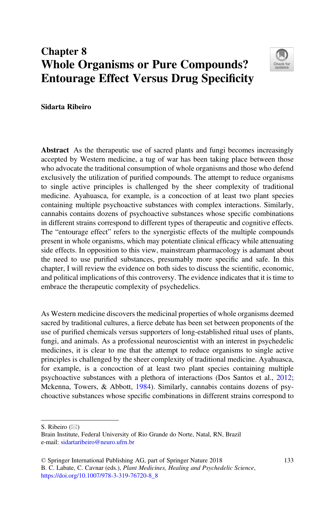# Chapter 8 Whole Organisms or Pure Compounds? Entourage Effect Versus Drug Specificity



#### Sidarta Ribeiro

Abstract As the therapeutic use of sacred plants and fungi becomes increasingly accepted by Western medicine, a tug of war has been taking place between those who advocate the traditional consumption of whole organisms and those who defend exclusively the utilization of purified compounds. The attempt to reduce organisms to single active principles is challenged by the sheer complexity of traditional medicine. Ayahuasca, for example, is a concoction of at least two plant species containing multiple psychoactive substances with complex interactions. Similarly, cannabis contains dozens of psychoactive substances whose specific combinations in different strains correspond to different types of therapeutic and cognitive effects. The "entourage effect" refers to the synergistic effects of the multiple compounds present in whole organisms, which may potentiate clinical efficacy while attenuating side effects. In opposition to this view, mainstream pharmacology is adamant about the need to use purified substances, presumably more specific and safe. In this chapter, I will review the evidence on both sides to discuss the scientific, economic, and political implications of this controversy. The evidence indicates that it is time to embrace the therapeutic complexity of psychedelics.

As Western medicine discovers the medicinal properties of whole organisms deemed sacred by traditional cultures, a fierce debate has been set between proponents of the use of purified chemicals versus supporters of long-established ritual uses of plants, fungi, and animals. As a professional neuroscientist with an interest in psychedelic medicines, it is clear to me that the attempt to reduce organisms to single active principles is challenged by the sheer complexity of traditional medicine. Ayahuasca, for example, is a concoction of at least two plant species containing multiple psychoactive substances with a plethora of interactions (Dos Santos et al., [2012;](#page-10-0) Mckenna, Towers,  $\&$  Abbott, [1984\)](#page-12-0). Similarly, cannabis contains dozens of psychoactive substances whose specific combinations in different strains correspond to

133

S. Ribeiro  $(\boxtimes)$ 

Brain Institute, Federal University of Rio Grande do Norte, Natal, RN, Brazil e-mail: [sidartaribeiro@neuro.ufrn.br](mailto:sidartaribeiro@neuro.ufrn.br)

<sup>©</sup> Springer International Publishing AG, part of Springer Nature 2018

B. C. Labate, C. Cavnar (eds.), Plant Medicines, Healing and Psychedelic Science, [https://doi.org/10.1007/978-3-319-76720-8\\_8](https://doi.org/10.1007/978-3-319-76720-8_8)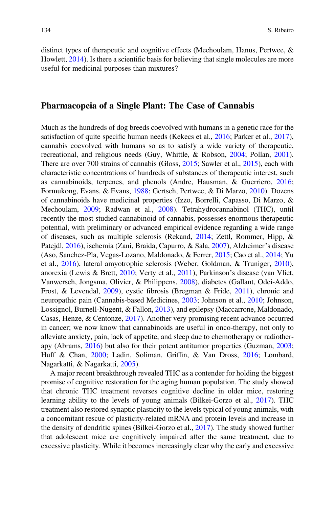distinct types of therapeutic and cognitive effects (Mechoulam, Hanus, Pertwee, & Howlett, [2014](#page-13-0)). Is there a scientific basis for believing that single molecules are more useful for medicinal purposes than mixtures?

## Pharmacopeia of a Single Plant: The Case of Cannabis

Much as the hundreds of dog breeds coevolved with humans in a genetic race for the satisfaction of quite specific human needs (Kekecs et al., [2016;](#page-12-1) Parker et al., [2017\)](#page-13-1), cannabis coevolved with humans so as to satisfy a wide variety of therapeutic, recreational, and religious needs (Guy, Whittle, & Robson, [2004](#page-11-0); Pollan, [2001\)](#page-14-0). There are over 700 strains of cannabis (Gloss, [2015](#page-11-1); Sawler et al., [2015\)](#page-14-1), each with characteristic concentrations of hundreds of substances of therapeutic interest, such as cannabinoids, terpenes, and phenols (Andre, Hausman, & Guerriero, [2016;](#page-9-0) Formukong, Evans, & Evans, [1988;](#page-11-2) Gertsch, Pertwee, & Di Marzo, [2010](#page-11-3)). Dozens of cannabinoids have medicinal properties (Izzo, Borrelli, Capasso, Di Marzo, & Mechoulam, [2009;](#page-11-4) Radwan et al., [2008\)](#page-14-2). Tetrahydrocannabinol (THC), until recently the most studied cannabinoid of cannabis, possesses enormous therapeutic potential, with preliminary or advanced empirical evidence regarding a wide range of diseases, such as multiple sclerosis (Rekand, [2014](#page-14-3); Zettl, Rommer, Hipp, & Patejdl, [2016](#page-15-0)), ischemia (Zani, Braida, Capurro, & Sala, [2007\)](#page-15-1), Alzheimer's disease (Aso, Sanchez-Pla, Vegas-Lozano, Maldonado, & Ferrer, [2015;](#page-9-1) Cao et al., [2014](#page-10-1); Yu et al., [2016](#page-15-2)), lateral amyotrophic sclerosis (Weber, Goldman, & Truniger, [2010\)](#page-15-3), anorexia (Lewis & Brett, [2010;](#page-12-2) Verty et al., [2011](#page-15-4)), Parkinson's disease (van Vliet, Vanwersch, Jongsma, Olivier, & Philippens, [2008](#page-15-5)), diabetes (Gallant, Odei-Addo, Frost, & Levendal, [2009\)](#page-11-5), cystic fibrosis (Bregman & Fride, [2011\)](#page-10-2), chronic and neuropathic pain (Cannabis-based Medicines, [2003;](#page-10-3) Johnson et al., [2010;](#page-12-3) Johnson, Lossignol, Burnell-Nugent, & Fallon, [2013\)](#page-12-4), and epilepsy (Maccarrone, Maldonado, Casas, Henze, & Centonze, [2017](#page-12-5)). Another very promising recent advance occurred in cancer; we now know that cannabinoids are useful in onco-therapy, not only to alleviate anxiety, pain, lack of appetite, and sleep due to chemotherapy or radiotherapy (Abrams, [2016](#page-9-2)) but also for their potent antitumor properties (Guzman, [2003;](#page-11-6) Huff & Chan, [2000](#page-11-7); Ladin, Soliman, Griffin, & Van Dross, [2016;](#page-12-6) Lombard, Nagarkatti, & Nagarkatti, [2005](#page-12-7)).

A major recent breakthrough revealed THC as a contender for holding the biggest promise of cognitive restoration for the aging human population. The study showed that chronic THC treatment reverses cognitive decline in older mice, restoring learning ability to the levels of young animals (Bilkei-Gorzo et al., [2017\)](#page-9-3). THC treatment also restored synaptic plasticity to the levels typical of young animals, with a concomitant rescue of plasticity-related mRNA and protein levels and increase in the density of dendritic spines (Bilkei-Gorzo et al., [2017](#page-9-3)). The study showed further that adolescent mice are cognitively impaired after the same treatment, due to excessive plasticity. While it becomes increasingly clear why the early and excessive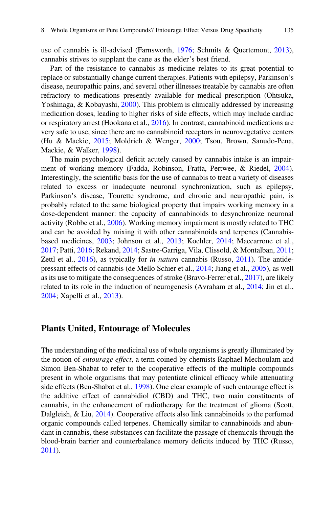use of cannabis is ill-advised (Farnsworth, [1976](#page-10-4); Schmits & Quertemont, [2013\)](#page-14-4), cannabis strives to supplant the cane as the elder's best friend.

Part of the resistance to cannabis as medicine relates to its great potential to replace or substantially change current therapies. Patients with epilepsy, Parkinson's disease, neuropathic pains, and several other illnesses treatable by cannabis are often refractory to medications presently available for medical prescription (Ohtsuka, Yoshinaga, & Kobayashi, [2000\)](#page-13-2). This problem is clinically addressed by increasing medication doses, leading to higher risks of side effects, which may include cardiac or respiratory arrest (Hookana et al., [2016](#page-11-8)). In contrast, cannabinoid medications are very safe to use, since there are no cannabinoid receptors in neurovegetative centers (Hu & Mackie, [2015;](#page-11-9) Moldrich & Wenger, [2000](#page-13-3); Tsou, Brown, Sanudo-Pena, Mackie, & Walker, [1998\)](#page-15-6).

The main psychological deficit acutely caused by cannabis intake is an impairment of working memory (Fadda, Robinson, Fratta, Pertwee, & Riedel, [2004\)](#page-10-5). Interestingly, the scientific basis for the use of cannabis to treat a variety of diseases related to excess or inadequate neuronal synchronization, such as epilepsy, Parkinson's disease, Tourette syndrome, and chronic and neuropathic pain, is probably related to the same biological property that impairs working memory in a dose-dependent manner: the capacity of cannabinoids to desynchronize neuronal activity (Robbe et al., [2006\)](#page-14-5). Working memory impairment is mostly related to THC and can be avoided by mixing it with other cannabinoids and terpenes (Cannabisbased medicines, [2003](#page-10-3); Johnson et al., [2013;](#page-12-4) Koehler, [2014;](#page-12-8) Maccarrone et al., [2017;](#page-12-5) Patti, [2016](#page-13-4); Rekand, [2014;](#page-14-3) Sastre-Garriga, Vila, Clissold, & Montalban, [2011;](#page-14-6) Zettl et al., [2016](#page-15-0)), as typically for in natura cannabis (Russo, [2011\)](#page-14-7). The antidepressant effects of cannabis (de Mello Schier et al., [2014](#page-10-6); Jiang et al., [2005\)](#page-11-10), as well as its use to mitigate the consequences of stroke (Bravo-Ferrer et al., [2017](#page-9-4)), are likely related to its role in the induction of neurogenesis (Avraham et al., [2014;](#page-9-5) Jin et al., [2004;](#page-12-9) Xapelli et al., [2013\)](#page-15-7).

#### Plants United, Entourage of Molecules

The understanding of the medicinal use of whole organisms is greatly illuminated by the notion of *entourage effect*, a term coined by chemists Raphael Mechoulam and Simon Ben-Shabat to refer to the cooperative effects of the multiple compounds present in whole organisms that may potentiate clinical efficacy while attenuating side effects (Ben-Shabat et al., [1998\)](#page-9-6). One clear example of such entourage effect is the additive effect of cannabidiol (CBD) and THC, two main constituents of cannabis, in the enhancement of radiotherapy for the treatment of glioma (Scott, Dalgleish, & Liu, [2014](#page-14-8)). Cooperative effects also link cannabinoids to the perfumed organic compounds called terpenes. Chemically similar to cannabinoids and abundant in cannabis, these substances can facilitate the passage of chemicals through the blood-brain barrier and counterbalance memory deficits induced by THC (Russo, [2011\)](#page-14-7).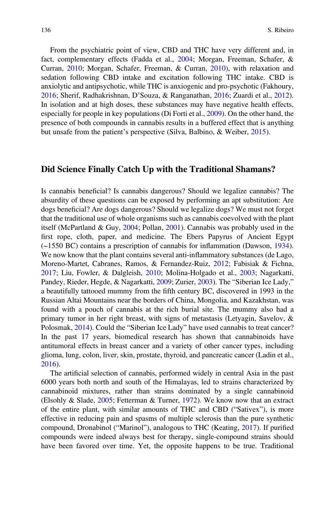From the psychiatric point of view, CBD and THC have very different and, in fact, complementary effects (Fadda et al., [2004](#page-10-5); Morgan, Freeman, Schafer, & Curran, [2010;](#page-13-5) Morgan, Schafer, Freeman, & Curran, [2010](#page-13-6)), with relaxation and sedation following CBD intake and excitation following THC intake. CBD is anxiolytic and antipsychotic, while THC is anxiogenic and pro-psychotic (Fakhoury, [2016;](#page-10-7) Sherif, Radhakrishnan, D'Souza, & Ranganathan, [2016;](#page-14-9) Zuardi et al., [2012\)](#page-16-0). In isolation and at high doses, these substances may have negative health effects, especially for people in key populations (Di Forti et al., [2009](#page-10-8)). On the other hand, the presence of both compounds in cannabis results in a buffered effect that is anything but unsafe from the patient's perspective (Silva, Balbino, & Weiber, [2015](#page-14-10)).

## Did Science Finally Catch Up with the Traditional Shamans?

Is cannabis beneficial? Is cannabis dangerous? Should we legalize cannabis? The absurdity of these questions can be exposed by performing an apt substitution: Are dogs beneficial? Are dogs dangerous? Should we legalize dogs? We must not forget that the traditional use of whole organisms such as cannabis coevolved with the plant itself (McPartland & Guy, [2004](#page-13-7); Pollan, [2001](#page-14-0)). Cannabis was probably used in the first rope, cloth, paper, and medicine. The Ebers Papyrus of Ancient Egypt (~1550 BC) contains a prescription of cannabis for inflammation (Dawson, [1934\)](#page-10-9). We now know that the plant contains several anti-inflammatory substances (de Lago, Moreno-Martet, Cabranes, Ramos, & Fernandez-Ruiz, [2012](#page-10-10); Fabisiak & Fichna, [2017;](#page-10-11) Liu, Fowler, & Dalgleish, [2010](#page-12-10); Molina-Holgado et al., [2003;](#page-13-8) Nagarkatti, Pandey, Rieder, Hegde, & Nagarkatti, [2009](#page-13-9); Zurier, [2003](#page-16-1)). The "Siberian Ice Lady," a beautifully tattooed mummy from the fifth century BC, discovered in 1993 in the Russian Altai Mountains near the borders of China, Mongolia, and Kazakhstan, was found with a pouch of cannabis at the rich burial site. The mummy also had a primary tumor in her right breast, with signs of metastasis (Letyagin, Savelov, & Polosmak, [2014\)](#page-12-11). Could the "Siberian Ice Lady" have used cannabis to treat cancer? In the past 17 years, biomedical research has shown that cannabinoids have antitumoral effects in breast cancer and a variety of other cancer types, including glioma, lung, colon, liver, skin, prostate, thyroid, and pancreatic cancer (Ladin et al., [2016\)](#page-12-6).

The artificial selection of cannabis, performed widely in central Asia in the past 6000 years both north and south of the Himalayas, led to strains characterized by cannabinoid mixtures, rather than strains dominated by a single cannabinoid (Elsohly & Slade, [2005;](#page-10-12) Fetterman & Turner, [1972\)](#page-11-11). We know now that an extract of the entire plant, with similar amounts of THC and CBD ("Sativex"), is more effective in reducing pain and spasms of multiple sclerosis than the pure synthetic compound, Dronabinol ("Marinol"), analogous to THC (Keating, [2017](#page-12-12)). If purified compounds were indeed always best for therapy, single-compound strains should have been favored over time. Yet, the opposite happens to be true. Traditional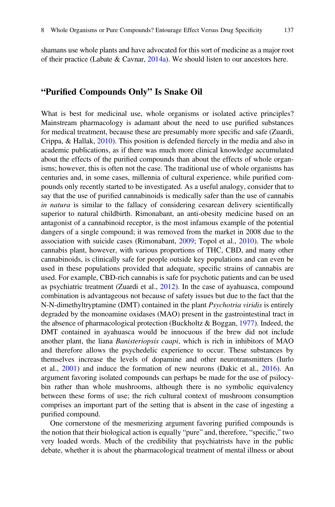shamans use whole plants and have advocated for this sort of medicine as a major root of their practice (Labate & Cavnar,  $2014a$ ). We should listen to our ancestors here.

## "Purified Compounds Only" Is Snake Oil

What is best for medicinal use, whole organisms or isolated active principles? Mainstream pharmacology is adamant about the need to use purified substances for medical treatment, because these are presumably more specific and safe (Zuardi, Crippa, & Hallak, [2010\)](#page-16-2). This position is defended fiercely in the media and also in academic publications, as if there was much more clinical knowledge accumulated about the effects of the purified compounds than about the effects of whole organisms; however, this is often not the case. The traditional use of whole organisms has centuries and, in some cases, millennia of cultural experience, while purified compounds only recently started to be investigated. As a useful analogy, consider that to say that the use of purified cannabinoids is medically safer than the use of cannabis in natura is similar to the fallacy of considering cesarean delivery scientifically superior to natural childbirth. Rimonabant, an anti-obesity medicine based on an antagonist of a cannabinoid receptor, is the most infamous example of the potential dangers of a single compound; it was removed from the market in 2008 due to the association with suicide cases (Rimonabant, [2009;](#page-14-11) Topol et al., [2010\)](#page-15-8). The whole cannabis plant, however, with various proportions of THC, CBD, and many other cannabinoids, is clinically safe for people outside key populations and can even be used in these populations provided that adequate, specific strains of cannabis are used. For example, CBD-rich cannabis is safe for psychotic patients and can be used as psychiatric treatment (Zuardi et al., [2012](#page-16-0)). In the case of ayahuasca, compound combination is advantageous not because of safety issues but due to the fact that the N-N-dimethyltryptamine (DMT) contained in the plant Psychotria viridis is entirely degraded by the monoamine oxidases (MAO) present in the gastrointestinal tract in the absence of pharmacological protection (Buckholtz & Boggan, [1977\)](#page-10-13). Indeed, the DMT contained in ayahuasca would be innocuous if the brew did not include another plant, the liana Banisteriopsis caapi, which is rich in inhibitors of MAO and therefore allows the psychedelic experience to occur. These substances by themselves increase the levels of dopamine and other neurotransmitters (Iurlo et al., [2001](#page-11-12)) and induce the formation of new neurons (Dakic et al., [2016\)](#page-10-14). An argument favoring isolated compounds can perhaps be made for the use of psilocybin rather than whole mushrooms, although there is no symbolic equivalency between these forms of use; the rich cultural context of mushroom consumption comprises an important part of the setting that is absent in the case of ingesting a purified compound.

One cornerstone of the mesmerizing argument favoring purified compounds is the notion that their biological action is equally "pure" and, therefore, "specific," two very loaded words. Much of the credibility that psychiatrists have in the public debate, whether it is about the pharmacological treatment of mental illness or about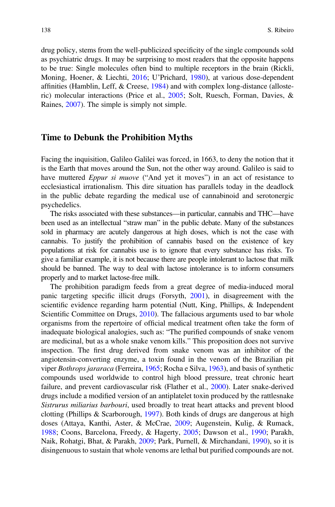drug policy, stems from the well-publicized specificity of the single compounds sold as psychiatric drugs. It may be surprising to most readers that the opposite happens to be true: Single molecules often bind to multiple receptors in the brain (Rickli, Moning, Hoener, & Liechti, [2016](#page-14-12); U'Prichard, [1980\)](#page-15-9), at various dose-dependent affinities (Hamblin, Leff, & Creese, [1984\)](#page-11-13) and with complex long-distance (allosteric) molecular interactions (Price et al., [2005;](#page-14-13) Solt, Ruesch, Forman, Davies, & Raines, [2007](#page-14-14)). The simple is simply not simple.

#### Time to Debunk the Prohibition Myths

Facing the inquisition, Galileo Galilei was forced, in 1663, to deny the notion that it is the Earth that moves around the Sun, not the other way around. Galileo is said to have muttered *Eppur si muove* ("And yet it moves") in an act of resistance to ecclesiastical irrationalism. This dire situation has parallels today in the deadlock in the public debate regarding the medical use of cannabinoid and serotonergic psychedelics.

The risks associated with these substances—in particular, cannabis and THC—have been used as an intellectual "straw man" in the public debate. Many of the substances sold in pharmacy are acutely dangerous at high doses, which is not the case with cannabis. To justify the prohibition of cannabis based on the existence of key populations at risk for cannabis use is to ignore that every substance has risks. To give a familiar example, it is not because there are people intolerant to lactose that milk should be banned. The way to deal with lactose intolerance is to inform consumers properly and to market lactose-free milk.

The prohibition paradigm feeds from a great degree of media-induced moral panic targeting specific illicit drugs (Forsyth, [2001\)](#page-11-14), in disagreement with the scientific evidence regarding harm potential (Nutt, King, Phillips, & Independent Scientific Committee on Drugs, [2010\)](#page-13-10). The fallacious arguments used to bar whole organisms from the repertoire of official medical treatment often take the form of inadequate biological analogies, such as: "The purified compounds of snake venom are medicinal, but as a whole snake venom kills." This proposition does not survive inspection. The first drug derived from snake venom was an inhibitor of the angiotensin-converting enzyme, a toxin found in the venom of the Brazilian pit viper Bothrops jararaca (Ferreira, [1965](#page-11-15); Rocha e Silva, [1963\)](#page-14-15), and basis of synthetic compounds used worldwide to control high blood pressure, treat chronic heart failure, and prevent cardiovascular risk (Flather et al., [2000\)](#page-11-16). Later snake-derived drugs include a modified version of an antiplatelet toxin produced by the rattlesnake Sistrurus miliarius barbouri, used broadly to treat heart attacks and prevent blood clotting (Phillips & Scarborough, [1997](#page-13-11)). Both kinds of drugs are dangerous at high doses (Attaya, Kanthi, Aster, & McCrae, [2009](#page-9-7); Augenstein, Kulig, & Rumack, [1988;](#page-9-8) Coons, Barcelona, Freedy, & Hagerty, [2005;](#page-10-15) Dawson et al., [1990](#page-10-16); Parakh, Naik, Rohatgi, Bhat, & Parakh, [2009](#page-13-12); Park, Purnell, & Mirchandani, [1990\)](#page-13-13), so it is disingenuous to sustain that whole venoms are lethal but purified compounds are not.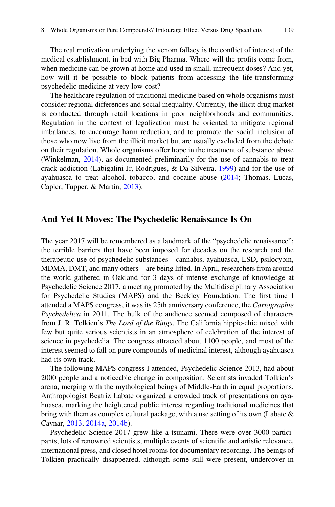The real motivation underlying the venom fallacy is the conflict of interest of the medical establishment, in bed with Big Pharma. Where will the profits come from, when medicine can be grown at home and used in small, infrequent doses? And yet, how will it be possible to block patients from accessing the life-transforming psychedelic medicine at very low cost?

The healthcare regulation of traditional medicine based on whole organisms must consider regional differences and social inequality. Currently, the illicit drug market is conducted through retail locations in poor neighborhoods and communities. Regulation in the context of legalization must be oriented to mitigate regional imbalances, to encourage harm reduction, and to promote the social inclusion of those who now live from the illicit market but are usually excluded from the debate on their regulation. Whole organisms offer hope in the treatment of substance abuse (Winkelman, [2014](#page-15-10)), as documented preliminarily for the use of cannabis to treat crack addiction (Labigalini Jr, Rodrigues, & Da Silveira, [1999\)](#page-12-14) and for the use of ayahuasca to treat alcohol, tobacco, and cocaine abuse ([2014;](#page-15-10) Thomas, Lucas, Capler, Tupper, & Martin, [2013\)](#page-15-11).

#### And Yet It Moves: The Psychedelic Renaissance Is On

The year 2017 will be remembered as a landmark of the "psychedelic renaissance"; the terrible barriers that have been imposed for decades on the research and the therapeutic use of psychedelic substances—cannabis, ayahuasca, LSD, psilocybin, MDMA, DMT, and many others—are being lifted. In April, researchers from around the world gathered in Oakland for 3 days of intense exchange of knowledge at Psychedelic Science 2017, a meeting promoted by the Multidisciplinary Association for Psychedelic Studies (MAPS) and the Beckley Foundation. The first time I attended a MAPS congress, it was its 25th anniversary conference, the Cartographie Psychedelica in 2011. The bulk of the audience seemed composed of characters from J. R. Tolkien's The Lord of the Rings. The California hippie-chic mixed with few but quite serious scientists in an atmosphere of celebration of the interest of science in psychedelia. The congress attracted about 1100 people, and most of the interest seemed to fall on pure compounds of medicinal interest, although ayahuasca had its own track.

The following MAPS congress I attended, Psychedelic Science 2013, had about 2000 people and a noticeable change in composition. Scientists invaded Tolkien's arena, merging with the mythological beings of Middle-Earth in equal proportions. Anthropologist Beatriz Labate organized a crowded track of presentations on ayahuasca, marking the heightened public interest regarding traditional medicines that bring with them as complex cultural package, with a use setting of its own (Labate  $\&$ Cavnar, [2013,](#page-12-15) [2014a](#page-12-13), [2014b\)](#page-12-16).

Psychedelic Science 2017 grew like a tsunami. There were over 3000 participants, lots of renowned scientists, multiple events of scientific and artistic relevance, international press, and closed hotel rooms for documentary recording. The beings of Tolkien practically disappeared, although some still were present, undercover in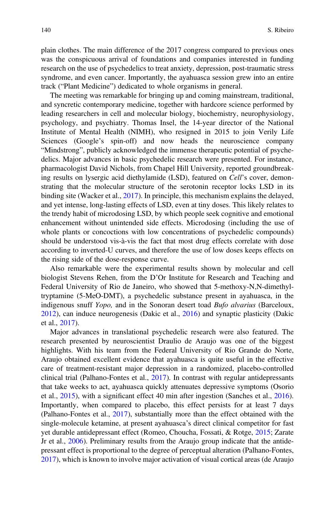plain clothes. The main difference of the 2017 congress compared to previous ones was the conspicuous arrival of foundations and companies interested in funding research on the use of psychedelics to treat anxiety, depression, post-traumatic stress syndrome, and even cancer. Importantly, the ayahuasca session grew into an entire track ("Plant Medicine") dedicated to whole organisms in general.

The meeting was remarkable for bringing up and coming mainstream, traditional, and syncretic contemporary medicine, together with hardcore science performed by leading researchers in cell and molecular biology, biochemistry, neurophysiology, psychology, and psychiatry. Thomas Insel, the 14-year director of the National Institute of Mental Health (NIMH), who resigned in 2015 to join Verily Life Sciences (Google's spin-off) and now heads the neuroscience company "Mindstrong", publicly acknowledged the immense therapeutic potential of psychedelics. Major advances in basic psychedelic research were presented. For instance, pharmacologist David Nichols, from Chapel Hill University, reported groundbreaking results on lysergic acid diethylamide (LSD), featured on Cell's cover, demonstrating that the molecular structure of the serotonin receptor locks LSD in its binding site (Wacker et al., [2017\)](#page-15-12). In principle, this mechanism explains the delayed, and yet intense, long-lasting effects of LSD, even at tiny doses. This likely relates to the trendy habit of microdosing LSD, by which people seek cognitive and emotional enhancement without unintended side effects. Microdosing (including the use of whole plants or concoctions with low concentrations of psychedelic compounds) should be understood vis-à-vis the fact that most drug effects correlate with dose according to inverted-U curves, and therefore the use of low doses keeps effects on the rising side of the dose-response curve.

Also remarkable were the experimental results shown by molecular and cell biologist Stevens Rehen, from the D'Or Institute for Research and Teaching and Federal University of Rio de Janeiro, who showed that 5-methoxy-N,N-dimethyltryptamine (5-MeO-DMT), a psychedelic substance present in ayahuasca, in the indigenous snuff Yopo, and in the Sonoran desert toad Bufo alvarius (Barceloux, [2012\)](#page-9-9), can induce neurogenesis (Dakic et al., [2016](#page-10-14)) and synaptic plasticity (Dakic et al., [2017\)](#page-10-17).

Major advances in translational psychedelic research were also featured. The research presented by neuroscientist Draulio de Araujo was one of the biggest highlights. With his team from the Federal University of Rio Grande do Norte, Araujo obtained excellent evidence that ayahuasca is quite useful in the effective care of treatment-resistant major depression in a randomized, placebo-controlled clinical trial (Palhano-Fontes et al., [2017](#page-13-14)). In contrast with regular antidepressants that take weeks to act, ayahuasca quickly attenuates depressive symptoms (Osorio et al., [2015\)](#page-13-15), with a significant effect 40 min after ingestion (Sanches et al., [2016\)](#page-14-16). Importantly, when compared to placebo, this effect persists for at least 7 days (Palhano-Fontes et al., [2017\)](#page-13-14), substantially more than the effect obtained with the single-molecule ketamine, at present ayahuasca's direct clinical competitor for fast yet durable antidepressant effect (Romeo, Choucha, Fossati, & Rotge, [2015](#page-14-17); Zarate Jr et al., [2006](#page-15-13)). Preliminary results from the Araujo group indicate that the antidepressant effect is proportional to the degree of perceptual alteration (Palhano-Fontes, [2017\)](#page-13-16), which is known to involve major activation of visual cortical areas (de Araujo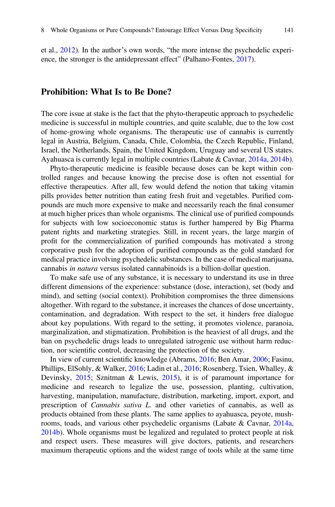et al., [2012\)](#page-10-18). In the author's own words, "the more intense the psychedelic experience, the stronger is the antidepressant effect" (Palhano-Fontes, [2017](#page-13-16)).

## Prohibition: What Is to Be Done?

The core issue at stake is the fact that the phyto-therapeutic approach to psychedelic medicine is successful in multiple countries, and quite scalable, due to the low cost of home-growing whole organisms. The therapeutic use of cannabis is currently legal in Austria, Belgium, Canada, Chile, Colombia, the Czech Republic, Finland, Israel, the Netherlands, Spain, the United Kingdom, Uruguay and several US states. Ayahuasca is currently legal in multiple countries (Labate & Cavnar, [2014a](#page-12-13), [2014b\)](#page-12-16).

Phyto-therapeutic medicine is feasible because doses can be kept within controlled ranges and because knowing the precise dose is often not essential for effective therapeutics. After all, few would defend the notion that taking vitamin pills provides better nutrition than eating fresh fruit and vegetables. Purified compounds are much more expensive to make and necessarily reach the final consumer at much higher prices than whole organisms. The clinical use of purified compounds for subjects with low socioeconomic status is further hampered by Big Pharma patent rights and marketing strategies. Still, in recent years, the large margin of profit for the commercialization of purified compounds has motivated a strong corporative push for the adoption of purified compounds as the gold standard for medical practice involving psychedelic substances. In the case of medical marijuana, cannabis in natura versus isolated cannabinoids is a billion-dollar question.

To make safe use of any substance, it is necessary to understand its use in three different dimensions of the experience: substance (dose, interaction), set (body and mind), and setting (social context). Prohibition compromises the three dimensions altogether. With regard to the substance, it increases the chances of dose uncertainty, contamination, and degradation. With respect to the set, it hinders free dialogue about key populations. With regard to the setting, it promotes violence, paranoia, marginalization, and stigmatization. Prohibition is the heaviest of all drugs, and the ban on psychedelic drugs leads to unregulated iatrogenic use without harm reduction, nor scientific control, decreasing the protection of the society.

In view of current scientific knowledge (Abrams, [2016](#page-9-2); Ben Amar, [2006;](#page-9-10) Fasinu, Phillips, ElSohly, & Walker, [2016](#page-11-17); Ladin et al., [2016;](#page-12-6) Rosenberg, Tsien, Whalley, & Devinsky, [2015](#page-14-18); Sznitman & Lewis, [2015\)](#page-15-14), it is of paramount importance for medicine and research to legalize the use, possession, planting, cultivation, harvesting, manipulation, manufacture, distribution, marketing, import, export, and prescription of Cannabis sativa L. and other varieties of cannabis, as well as products obtained from these plants. The same applies to ayahuasca, peyote, mushrooms, toads, and various other psychedelic organisms (Labate & Cavnar, [2014a](#page-12-13), [2014b\)](#page-12-16). Whole organisms must be legalized and regulated to protect people at risk and respect users. These measures will give doctors, patients, and researchers maximum therapeutic options and the widest range of tools while at the same time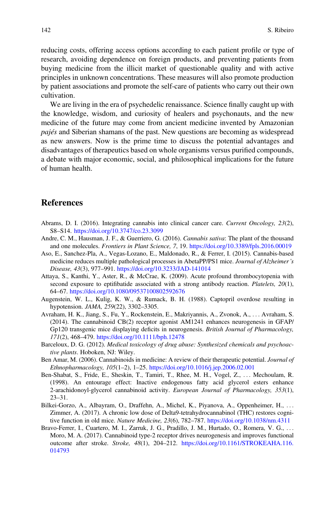reducing costs, offering access options according to each patient profile or type of research, avoiding dependence on foreign products, and preventing patients from buying medicine from the illicit market of questionable quality and with active principles in unknown concentrations. These measures will also promote production by patient associations and promote the self-care of patients who carry out their own cultivation.

We are living in the era of psychedelic renaissance. Science finally caught up with the knowledge, wisdom, and curiosity of healers and psychonauts, and the new medicine of the future may come from ancient medicine invented by Amazonian pajés and Siberian shamans of the past. New questions are becoming as widespread as new answers. Now is the prime time to discuss the potential advantages and disadvantages of therapeutics based on whole organisms versus purified compounds, a debate with major economic, social, and philosophical implications for the future of human health.

## References

- <span id="page-9-2"></span>Abrams, D. I. (2016). Integrating cannabis into clinical cancer care. Current Oncology, 23(2), S8–S14. <https://doi.org/10.3747/co.23.3099>
- <span id="page-9-0"></span>Andre, C. M., Hausman, J. F., & Guerriero, G. (2016). Cannabis sativa: The plant of the thousand and one molecules. Frontiers in Plant Science, 7, 19. <https://doi.org/10.3389/fpls.2016.00019>
- <span id="page-9-1"></span>Aso, E., Sanchez-Pla, A., Vegas-Lozano, E., Maldonado, R., & Ferrer, I. (2015). Cannabis-based medicine reduces multiple pathological processes in AbetaPP/PS1 mice. Journal of Alzheimer's Disease, 43(3), 977–991. <https://doi.org/10.3233/JAD-141014>
- <span id="page-9-7"></span>Attaya, S., Kanthi, Y., Aster, R., & McCrae, K. (2009). Acute profound thrombocytopenia with second exposure to eptifibatide associated with a strong antibody reaction. Platelets, 20(1), 64–67. <https://doi.org/10.1080/09537100802592676>
- <span id="page-9-8"></span>Augenstein, W. L., Kulig, K. W., & Rumack, B. H. (1988). Captopril overdose resulting in hypotension. JAMA, 259(22), 3302–3305.
- <span id="page-9-5"></span>Avraham, H. K., Jiang, S., Fu, Y., Rockenstein, E., Makriyannis, A., Zvonok, A., ... Avraham, S. (2014). The cannabinoid CB(2) receptor agonist AM1241 enhances neurogenesis in GFAP/ Gp120 transgenic mice displaying deficits in neurogenesis. British Journal of Pharmacology, 171(2), 468–479. <https://doi.org/10.1111/bph.12478>
- <span id="page-9-9"></span>Barceloux, D. G. (2012). Medical toxicology of drug abuse: Synthesized chemicals and psychoactive plants. Hoboken, NJ: Wiley.
- <span id="page-9-10"></span>Ben Amar, M. (2006). Cannabinoids in medicine: A review of their therapeutic potential. Journal of Ethnopharmacology, 105(1–2), 1–25. <https://doi.org/10.1016/j.jep.2006.02.001>
- <span id="page-9-6"></span>Ben-Shabat, S., Fride, E., Sheskin, T., Tamiri, T., Rhee, M. H., Vogel, Z., ... Mechoulam, R. (1998). An entourage effect: Inactive endogenous fatty acid glycerol esters enhance 2-arachidonoyl-glycerol cannabinoid activity. European Journal of Pharmacology, 353(1), 23–31.
- <span id="page-9-3"></span>Bilkei-Gorzo, A., Albayram, O., Draffehn, A., Michel, K., Piyanova, A., Oppenheimer, H., ... Zimmer, A. (2017). A chronic low dose of Delta9-tetrahydrocannabinol (THC) restores cognitive function in old mice. *Nature Medicine*, 23(6), 782–787. <https://doi.org/10.1038/nm.4311>
- <span id="page-9-4"></span>Bravo-Ferrer, I., Cuartero, M. I., Zarruk, J. G., Pradillo, J. M., Hurtado, O., Romera, V. G., ... Moro, M. A. (2017). Cannabinoid type-2 receptor drives neurogenesis and improves functional outcome after stroke. Stroke, 48(1), 204-212. [https://doi.org/10.1161/STROKEAHA.116.](https://doi.org/10.1161/STROKEAHA.116.014793) [014793](https://doi.org/10.1161/STROKEAHA.116.014793)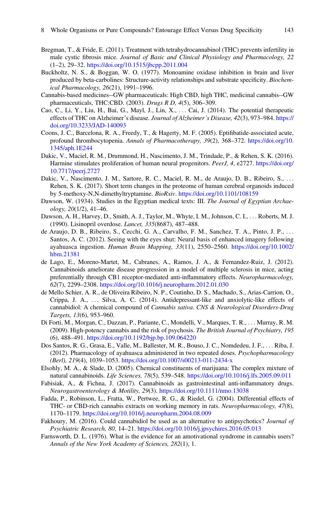- <span id="page-10-2"></span>Bregman, T., & Fride, E. (2011). Treatment with tetrahydrocannabinol (THC) prevents infertility in male cystic fibrosis mice. Journal of Basic and Clinical Physiology and Pharmacology, 22 (1–2), 29–32. <https://doi.org/10.1515/jbcpp.2011.004>
- <span id="page-10-13"></span>Buckholtz, N. S., & Boggan, W. O. (1977). Monoamine oxidase inhibition in brain and liver produced by beta-carbolines: Structure-activity relationships and substrate specificity. Biochemical Pharmacology, 26(21), 1991–1996.
- <span id="page-10-3"></span>Cannabis-based medicines--GW pharmaceuticals: High CBD, high THC, medicinal cannabis--GW pharmaceuticals, THC:CBD. (2003). Drugs R D, 4(5), 306–309.
- <span id="page-10-1"></span>Cao, C., Li, Y., Liu, H., Bai, G., Mayl, J., Lin, X., ... Cai, J. (2014). The potential therapeutic effects of THC on Alzheimer's disease. Journal of Alzheimer's Disease, 42(3), 973–984. [https://](https://doi.org/10.3233/JAD-140093) [doi.org/10.3233/JAD-140093](https://doi.org/10.3233/JAD-140093)
- <span id="page-10-15"></span>Coons, J. C., Barcelona, R. A., Freedy, T., & Hagerty, M. F. (2005). Eptifibatide-associated acute, profound thrombocytopenia. Annals of Pharmacotherapy, 39(2), 368–372. [https://doi.org/10.](https://doi.org/10.1345/aph.1E244) [1345/aph.1E244](https://doi.org/10.1345/aph.1E244)
- <span id="page-10-14"></span>Dakic, V., Maciel, R. M., Drummond, H., Nascimento, J. M., Trindade, P., & Rehen, S. K. (2016). Harmine stimulates proliferation of human neural progenitors. PeerJ, 4, e2727. [https://doi.org/](https://doi.org/10.7717/peerj.2727) [10.7717/peerj.2727](https://doi.org/10.7717/peerj.2727)
- <span id="page-10-17"></span>Dakic, V., Nascimento, J. M., Sartore, R. C., Maciel, R. M., de Araujo, D. B., Ribeiro, S., ... Rehen, S. K. (2017). Short term changes in the proteome of human cerebral organoids induced by 5-methoxy-N,N-dimethyltryptamine. BioRxiv. <https://doi.org/10.1101/108159>
- <span id="page-10-9"></span>Dawson, W. (1934). Studies in the Egyptian medical texts: III. The Journal of Egyptian Archaeology, 20(1/2), 41–46.
- <span id="page-10-16"></span>Dawson, A. H., Harvey, D., Smith, A. J., Taylor, M., Whyte, I. M., Johnson, C. I., ... Roberts, M. J. (1990). Lisinopril overdose. Lancet, 335(8687), 487–488.
- <span id="page-10-18"></span>de Araujo, D. B., Ribeiro, S., Cecchi, G. A., Carvalho, F. M., Sanchez, T. A., Pinto, J. P., ... Santos, A. C. (2012). Seeing with the eyes shut: Neural basis of enhanced imagery following ayahuasca ingestion. Human Brain Mapping, 33(11), 2550–2560. [https://doi.org/10.1002/](https://doi.org/10.1002/hbm.21381) [hbm.21381](https://doi.org/10.1002/hbm.21381)
- <span id="page-10-10"></span>de Lago, E., Moreno-Martet, M., Cabranes, A., Ramos, J. A., & Fernandez-Ruiz, J. (2012). Cannabinoids ameliorate disease progression in a model of multiple sclerosis in mice, acting preferentially through CB1 receptor-mediated anti-inflammatory effects. Neuropharmacology, 62(7), 2299–2308. <https://doi.org/10.1016/j.neuropharm.2012.01.030>
- <span id="page-10-6"></span>de Mello Schier, A. R., de Oliveira Ribeiro, N. P., Coutinho, D. S., Machado, S., Arias-Carrion, O., Crippa, J. A., ... Silva, A. C. (2014). Antidepressant-like and anxiolytic-like effects of cannabidiol: A chemical compound of *Cannabis sativa. CNS & Neurological Disorders-Drug* Targets, 13(6), 953–960.
- <span id="page-10-8"></span>Di Forti, M., Morgan, C., Dazzan, P., Pariante, C., Mondelli, V., Marques, T. R., ... Murray, R. M. (2009). High-potency cannabis and the risk of psychosis. The British Journal of Psychiatry, 195 (6), 488–491. <https://doi.org/10.1192/bjp.bp.109.064220>
- <span id="page-10-0"></span>Dos Santos, R. G., Grasa, E., Valle, M., Ballester, M. R., Bouso, J. C., Nomdedeu, J. F., ... Riba, J. (2012). Pharmacology of ayahuasca administered in two repeated doses. Psychopharmacology (Berl), 219(4), 1039–1053. <https://doi.org/10.1007/s00213-011-2434-x>
- <span id="page-10-12"></span>Elsohly, M. A., & Slade, D. (2005). Chemical constituents of marijuana: The complex mixture of natural cannabinoids. Life Sciences, 78(5), 539–548. <https://doi.org/10.1016/j.lfs.2005.09.011>
- <span id="page-10-11"></span>Fabisiak, A., & Fichna, J. (2017). Cannabinoids as gastrointestinal anti-inflammatory drugs. Neurogastroenterology & Motility, 29(3). <https://doi.org/10.1111/nmo.13038>
- <span id="page-10-5"></span>Fadda, P., Robinson, L., Fratta, W., Pertwee, R. G., & Riedel, G. (2004). Differential effects of THC- or CBD-rich cannabis extracts on working memory in rats. Neuropharmacology, 47(8), 1170–1179. <https://doi.org/10.1016/j.neuropharm.2004.08.009>
- <span id="page-10-7"></span>Fakhoury, M. (2016). Could cannabidiol be used as an alternative to antipsychotics? Journal of Psychiatric Research, 80, 14–21. <https://doi.org/10.1016/j.jpsychires.2016.05.013>
- <span id="page-10-4"></span>Farnsworth, D. L. (1976). What is the evidence for an amotivational syndrome in cannabis users? Annals of the New York Academy of Sciences, 282(1), 1.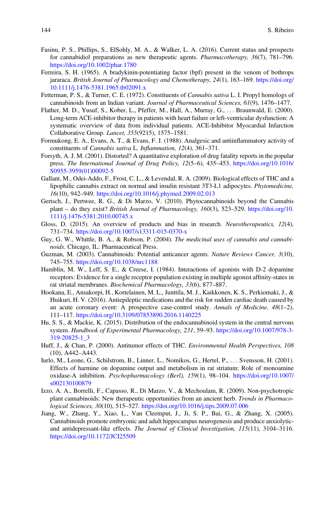- <span id="page-11-17"></span>Fasinu, P. S., Phillips, S., ElSohly, M. A., & Walker, L. A. (2016). Current status and prospects for cannabidiol preparations as new therapeutic agents. *Pharmacotherapy*, 36(7), 781–796. <https://doi.org/10.1002/phar.1780>
- <span id="page-11-15"></span>Ferreira, S. H. (1965). A bradykinin-potentiating factor (bpf) present in the venom of bothrops jararaca. British Journal of Pharmacology and Chemotherapy, 24(1), 163–169. [https://doi.org/](https://doi.org/10.1111/j.1476-5381.1965.tb02091.x) [10.1111/j.1476-5381.1965.tb02091.x](https://doi.org/10.1111/j.1476-5381.1965.tb02091.x)
- <span id="page-11-11"></span>Fetterman, P. S., & Turner, C. E. (1972). Constituents of Cannabis sativa L. I. Propyl homologs of cannabinoids from an Indian variant. Journal of Pharmaceutical Sciences, 61(9), 1476–1477.
- <span id="page-11-16"></span>Flather, M. D., Yusuf, S., Kober, L., Pfeffer, M., Hall, A., Murray, G., ... Braunwald, E. (2000). Long-term ACE-inhibitor therapy in patients with heart failure or left-ventricular dysfunction: A systematic overview of data from individual patients. ACE-Inhibitor Myocardial Infarction Collaborative Group. Lancet, 355(9215), 1575–1581.
- <span id="page-11-2"></span>Formukong, E. A., Evans, A. T., & Evans, F. J. (1988). Analgesic and antiinflammatory activity of constituents of Cannabis sativa L. Inflammation, 12(4), 361–371.
- <span id="page-11-14"></span>Forsyth, A. J. M. (2001). Distorted? A quantitative exploration of drug fatality reports in the popular press. The International Journal of Drug Policy, 12(5–6), 435–453. [https://doi.org/10.1016/](https://doi.org/10.1016/S0955-3959(01)00092-5) [S0955-3959\(01\)00092-5](https://doi.org/10.1016/S0955-3959(01)00092-5)
- <span id="page-11-5"></span>Gallant, M., Odei-Addo, F., Frost, C. L., & Levendal, R. A. (2009). Biological effects of THC and a lipophilic cannabis extract on normal and insulin resistant 3T3-L1 adipocytes. Phytomedicine, 16(10), 942–949. <https://doi.org/10.1016/j.phymed.2009.02.013>
- <span id="page-11-3"></span>Gertsch, J., Pertwee, R. G., & Di Marzo, V. (2010). Phytocannabinoids beyond the Cannabis plant – do they exist? British Journal of Pharmacology, 160(3), 523–529. [https://doi.org/10.](https://doi.org/10.1111/j.1476-5381.2010.00745.x) [1111/j.1476-5381.2010.00745.x](https://doi.org/10.1111/j.1476-5381.2010.00745.x)
- <span id="page-11-1"></span>Gloss, D. (2015). An overview of products and bias in research. Neurotherapeutics, 12(4), 731–734. <https://doi.org/10.1007/s13311-015-0370-x>
- <span id="page-11-0"></span>Guy, G. W., Whittle, B. A., & Robson, P. (2004). The medicinal uses of cannabis and cannabinoids. Chicago, IL: Pharmaceutical Press.
- <span id="page-11-6"></span>Guzman, M. (2003). Cannabinoids: Potential anticancer agents. Nature Reviews Cancer, 3(10), 745–755. <https://doi.org/10.1038/nrc1188>
- <span id="page-11-13"></span>Hamblin, M. W., Leff, S. E., & Creese, I. (1984). Interactions of agonists with D-2 dopamine receptors: Evidence for a single receptor population existing in multiple agonist affinity-states in rat striatal membranes. Biochemical Pharmacology, 33(6), 877–887.
- <span id="page-11-8"></span>Hookana, E., Ansakorpi, H., Kortelainen, M. L., Junttila, M. J., Kaikkonen, K. S., Perkiomaki, J., & Huikuri, H. V. (2016). Antiepileptic medications and the risk for sudden cardiac death caused by an acute coronary event: A prospective case-control study. Annals of Medicine,  $48(1-2)$ , 111–117. <https://doi.org/10.3109/07853890.2016.1140225>
- <span id="page-11-9"></span>Hu, S. S., & Mackie, K. (2015). Distribution of the endocannabinoid system in the central nervous system. Handbook of Experimental Pharmacology, 231, 59–93. [https://doi.org/10.1007/978-3-](https://doi.org/10.1007/978-3-319-20825-1_3) [319-20825-1\\_3](https://doi.org/10.1007/978-3-319-20825-1_3)
- <span id="page-11-7"></span>Huff, J., & Chan, P. (2000). Antitumor effects of THC. Environmental Health Perspectives, 108 (10), A442–A443.
- <span id="page-11-12"></span>Iurlo, M., Leone, G., Schilstrom, B., Linner, L., Nomikos, G., Hertel, P., ... Svensson, H. (2001). Effects of harmine on dopamine output and metabolism in rat striatum: Role of monoamine oxidase-A inhibition. Psychopharmacology (Berl), 159(1), 98–104. [https://doi.org/10.1007/](https://doi.org/10.1007/s002130100879) [s002130100879](https://doi.org/10.1007/s002130100879)
- <span id="page-11-4"></span>Izzo, A. A., Borrelli, F., Capasso, R., Di Marzo, V., & Mechoulam, R. (2009). Non-psychotropic plant cannabinoids: New therapeutic opportunities from an ancient herb. *Trends in Pharmaco*logical Sciences, 30(10), 515–527. <https://doi.org/10.1016/j.tips.2009.07.006>
- <span id="page-11-10"></span>Jiang, W., Zhang, Y., Xiao, L., Van Cleemput, J., Ji, S. P., Bai, G., & Zhang, X. (2005). Cannabinoids promote embryonic and adult hippocampus neurogenesis and produce anxiolyticand antidepressant-like effects. The Journal of Clinical Investigation, 115(11), 3104–3116. <https://doi.org/10.1172/JCI25509>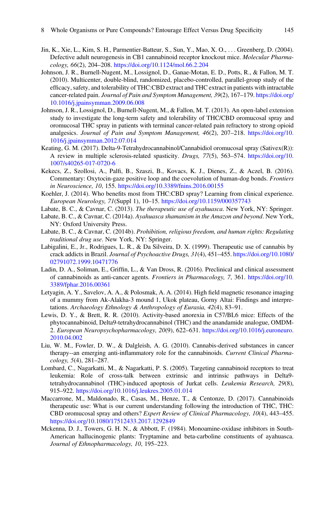- <span id="page-12-9"></span>Jin, K., Xie, L., Kim, S. H., Parmentier-Batteur, S., Sun, Y., Mao, X. O., ... Greenberg, D. (2004). Defective adult neurogenesis in CB1 cannabinoid receptor knockout mice. Molecular Pharmacology, 66(2), 204–208. <https://doi.org/10.1124/mol.66.2.204>
- <span id="page-12-3"></span>Johnson, J. R., Burnell-Nugent, M., Lossignol, D., Ganae-Motan, E. D., Potts, R., & Fallon, M. T. (2010). Multicenter, double-blind, randomized, placebo-controlled, parallel-group study of the efficacy, safety, and tolerability of THC:CBD extract and THC extract in patients with intractable cancer-related pain. Journal of Pain and Symptom Management, 39(2), 167-179. [https://doi.org/](https://doi.org/10.1016/j.jpainsymman.2009.06.008) [10.1016/j.jpainsymman.2009.06.008](https://doi.org/10.1016/j.jpainsymman.2009.06.008)
- <span id="page-12-4"></span>Johnson, J. R., Lossignol, D., Burnell-Nugent, M., & Fallon, M. T. (2013). An open-label extension study to investigate the long-term safety and tolerability of THC/CBD oromucosal spray and oromucosal THC spray in patients with terminal cancer-related pain refractory to strong opioid analgesics. Journal of Pain and Symptom Management, 46(2), 207–218. [https://doi.org/10.](https://doi.org/10.1016/j.jpainsymman.2012.07.014) [1016/j.jpainsymman.2012.07.014](https://doi.org/10.1016/j.jpainsymman.2012.07.014)
- <span id="page-12-12"></span>Keating, G. M. (2017). Delta-9-Tetrahydrocannabinol/Cannabidiol oromucosal spray (Sativex(R)): A review in multiple sclerosis-related spasticity. Drugs, 77(5), 563–574. [https://doi.org/10.](https://doi.org/10.1007/s40265-017-0720-6) [1007/s40265-017-0720-6](https://doi.org/10.1007/s40265-017-0720-6)
- <span id="page-12-1"></span>Kekecs, Z., Szollosi, A., Palfi, B., Szaszi, B., Kovacs, K. J., Dienes, Z., & Aczel, B. (2016). Commentary: Oxytocin-gaze positive loop and the coevolution of human-dog bonds. Frontiers in Neuroscience, 10, 155. <https://doi.org/10.3389/fnins.2016.00155>
- <span id="page-12-8"></span>Koehler, J. (2014). Who benefits most from THC:CBD spray? Learning from clinical experience. European Neurology, 71(Suppl 1), 10–15. <https://doi.org/10.1159/000357743>
- <span id="page-12-15"></span>Labate, B. C., & Cavnar, C. (2013). The therapeutic use of ayahuasca. New York, NY: Springer.
- <span id="page-12-13"></span>Labate, B. C., & Cavnar, C. (2014a). Ayahuasca shamanism in the Amazon and beyond. New York, NY: Oxford University Press.
- <span id="page-12-16"></span>Labate, B. C., & Cavnar, C. (2014b). Prohibition, religious freedom, and human rights: Regulating traditional drug use. New York, NY: Springer.
- <span id="page-12-14"></span>Labigalini, E., Jr., Rodrigues, L. R., & Da Silveira, D. X. (1999). Therapeutic use of cannabis by crack addicts in Brazil. Journal of Psychoactive Drugs, 31(4), 451–455. [https://doi.org/10.1080/](https://doi.org/10.1080/02791072.1999.10471776) [02791072.1999.10471776](https://doi.org/10.1080/02791072.1999.10471776)
- <span id="page-12-6"></span>Ladin, D. A., Soliman, E., Griffin, L., & Van Dross, R. (2016). Preclinical and clinical assessment of cannabinoids as anti-cancer agents. Frontiers in Pharmacology, 7, 361. [https://doi.org/10.](https://doi.org/10.3389/fphar.2016.00361) [3389/fphar.2016.00361](https://doi.org/10.3389/fphar.2016.00361)
- <span id="page-12-11"></span>Letyagin, A. Y., Savelov, A. A., & Polosmak, A. A. (2014). High field magnetic resonance imaging of a mummy from Ak-Alakha-3 mound 1, Ukok plateau, Gorny Altai: Findings and interpretations. Archaeology Ethnology & Anthropology of Eurasia, 42(4), 83-91.
- <span id="page-12-2"></span>Lewis, D. Y., & Brett, R. R. (2010). Activity-based anorexia in C57/BL6 mice: Effects of the phytocannabinoid, Delta9-tetrahydrocannabinol (THC) and the anandamide analogue, OMDM-2. European Neuropsychopharmacology, 20(9), 622–631. [https://doi.org/10.1016/j.euroneuro.](https://doi.org/10.1016/j.euroneuro.2010.04.002) [2010.04.002](https://doi.org/10.1016/j.euroneuro.2010.04.002)
- <span id="page-12-10"></span>Liu, W. M., Fowler, D. W., & Dalgleish, A. G. (2010). Cannabis-derived substances in cancer therapy--an emerging anti-inflammatory role for the cannabinoids. Current Clinical Pharmacology, 5(4), 281–287.
- <span id="page-12-7"></span>Lombard, C., Nagarkatti, M., & Nagarkatti, P. S. (2005). Targeting cannabinoid receptors to treat leukemia: Role of cross-talk between extrinsic and intrinsic pathways in Delta9 tetrahydrocannabinol (THC)-induced apoptosis of Jurkat cells. Leukemia Research, 29(8), 915–922. <https://doi.org/10.1016/j.leukres.2005.01.014>
- <span id="page-12-5"></span>Maccarrone, M., Maldonado, R., Casas, M., Henze, T., & Centonze, D. (2017). Cannabinoids therapeutic use: What is our current understanding following the introduction of THC, THC: CBD oromucosal spray and others? Expert Review of Clinical Pharmacology, 10(4), 443–455. <https://doi.org/10.1080/17512433.2017.1292849>
- <span id="page-12-0"></span>Mckenna, D. J., Towers, G. H. N., & Abbott, F. (1984). Monoamine-oxidase inhibitors in South-American hallucinogenic plants: Tryptamine and beta-carboline constituents of ayahuasca. Journal of Ethnopharmacology, 10, 195–223.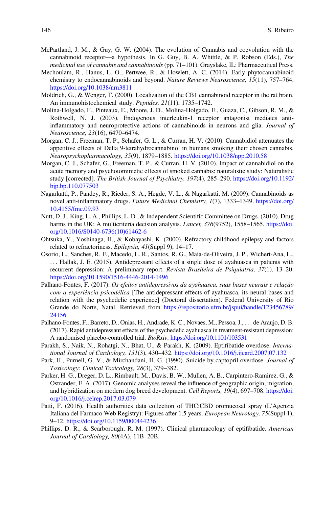- <span id="page-13-7"></span>McPartland, J. M., & Guy, G. W. (2004). The evolution of Cannabis and coevolution with the cannabinoid receptor—a hypothesis. In G. Guy, B. A. Whittle,  $\&$  P. Robson (Eds.), *The* medicinal use of cannabis and cannabinoids (pp. 71–101). Grayslake, IL: Pharmaceutical Press.
- <span id="page-13-0"></span>Mechoulam, R., Hanus, L. O., Pertwee, R., & Howlett, A. C. (2014). Early phytocannabinoid chemistry to endocannabinoids and beyond. Nature Reviews Neuroscience, 15(11), 757-764. <https://doi.org/10.1038/nrn3811>
- <span id="page-13-3"></span>Moldrich, G., & Wenger, T. (2000). Localization of the CB1 cannabinoid receptor in the rat brain. An immunohistochemical study. Peptides, 21(11), 1735–1742.
- <span id="page-13-8"></span>Molina-Holgado, F., Pinteaux, E., Moore, J. D., Molina-Holgado, E., Guaza, C., Gibson, R. M., & Rothwell, N. J. (2003). Endogenous interleukin-1 receptor antagonist mediates antiinflammatory and neuroprotective actions of cannabinoids in neurons and glia. Journal of Neuroscience, 23(16), 6470–6474.
- <span id="page-13-5"></span>Morgan, C. J., Freeman, T. P., Schafer, G. L., & Curran, H. V. (2010). Cannabidiol attenuates the appetitive effects of Delta 9-tetrahydrocannabinol in humans smoking their chosen cannabis. Neuropsychopharmacology, 35(9), 1879–1885. <https://doi.org/10.1038/npp.2010.58>
- <span id="page-13-6"></span>Morgan, C. J., Schafer, G., Freeman, T. P., & Curran, H. V. (2010). Impact of cannabidiol on the acute memory and psychotomimetic effects of smoked cannabis: naturalistic study: Naturalistic study [corrected]. The British Journal of Psychiatry, 197(4), 285–290. [https://doi.org/10.1192/](https://doi.org/10.1192/bjp.bp.110.077503) [bjp.bp.110.077503](https://doi.org/10.1192/bjp.bp.110.077503)
- <span id="page-13-9"></span>Nagarkatti, P., Pandey, R., Rieder, S. A., Hegde, V. L., & Nagarkatti, M. (2009). Cannabinoids as novel anti-inflammatory drugs. Future Medicinal Chemistry, 1(7), 1333-1349. [https://doi.org/](https://doi.org/10.4155/fmc.09.93) [10.4155/fmc.09.93](https://doi.org/10.4155/fmc.09.93)
- <span id="page-13-10"></span>Nutt, D. J., King, L. A., Phillips, L. D., & Independent Scientific Committee on Drugs. (2010). Drug harms in the UK: A multicriteria decision analysis. *Lancet*, 376(9752), 1558–1565. [https://doi.](https://doi.org/10.1016/S0140-6736(10)61462-6) [org/10.1016/S0140-6736\(10\)61462-6](https://doi.org/10.1016/S0140-6736(10)61462-6)
- <span id="page-13-2"></span>Ohtsuka, Y., Yoshinaga, H., & Kobayashi, K. (2000). Refractory childhood epilepsy and factors related to refractoriness. Epilepsia, 41(Suppl 9), 14-17.
- <span id="page-13-15"></span>Osorio, L., Sanches, R. F., Macedo, L. R., Santos, R. G., Maia-de-Oliveira, J. P., Wichert-Ana, L., ... Hallak, J. E. (2015). Antidepressant effects of a single dose of ayahuasca in patients with recurrent depression: A preliminary report. Revista Brasileira de Psiquiatria, 37(1), 13–20. <https://doi.org/10.1590/1516-4446-2014-1496>
- <span id="page-13-16"></span>Palhano-Fontes, F. (2017). Os efeitos antidepressivos da ayahuasca, suas bases neurais e relação com a experiência psicodélica [The antidepressant effects of ayahuasca, its neural bases and relation with the psychedelic experience] (Doctoral dissertation). Federal University of Rio Grande do Norte, Natal. Retrieved from [https://repositorio.ufrn.br/jspui/handle/123456789/](https://repositorio.ufrn.br/jspui/handle/123456789/24156) [24156](https://repositorio.ufrn.br/jspui/handle/123456789/24156)
- <span id="page-13-14"></span>Palhano-Fontes, F., Barreto, D., Onias, H., Andrade, K. C., Novaes, M., Pessoa, J., ... de Araujo, D. B. (2017). Rapid antidepressant effects of the psychedelic ayahuasca in treatment-resistant depression: A randomised placebo-controlled trial. BioRxiv. <https://doi.org/10.1101/103531>
- <span id="page-13-12"></span>Parakh, S., Naik, N., Rohatgi, N., Bhat, U., & Parakh, K. (2009). Eptifibatide overdose. International Journal of Cardiology, 131(3), 430–432. <https://doi.org/10.1016/j.ijcard.2007.07.132>
- <span id="page-13-13"></span>Park, H., Purnell, G. V., & Mirchandani, H. G. (1990). Suicide by captopril overdose. Journal of Toxicology: Clinical Toxicology, 28(3), 379–382.
- <span id="page-13-1"></span>Parker, H. G., Dreger, D. L., Rimbault, M., Davis, B. W., Mullen, A. B., Carpintero-Ramirez, G., & Ostrander, E. A. (2017). Genomic analyses reveal the influence of geographic origin, migration, and hybridization on modern dog breed development. Cell Reports, 19(4), 697-708. [https://doi.](https://doi.org/10.1016/j.celrep.2017.03.079) [org/10.1016/j.celrep.2017.03.079](https://doi.org/10.1016/j.celrep.2017.03.079)
- <span id="page-13-4"></span>Patti, F. (2016). Health authorities data collection of THC:CBD oromucosal spray (L'Agenzia Italiana del Farmaco Web Registry): Figures after 1.5 years. European Neurology, 75(Suppl 1), 9–12. <https://doi.org/10.1159/000444236>
- <span id="page-13-11"></span>Phillips, D. R., & Scarborough, R. M. (1997). Clinical pharmacology of eptifibatide. American Journal of Cardiology, 80(4A), 11B–20B.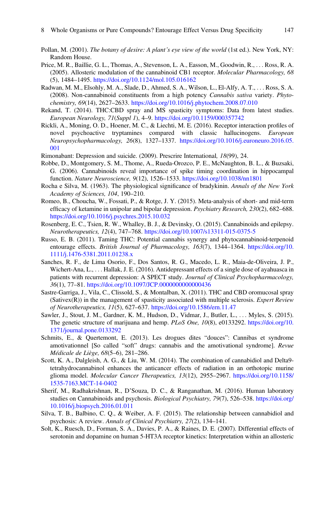- <span id="page-14-0"></span>Pollan, M. (2001). The botany of desire: A plant's eye view of the world (1st ed.). New York, NY: Random House.
- <span id="page-14-13"></span>Price, M. R., Baillie, G. L., Thomas, A., Stevenson, L. A., Easson, M., Goodwin, R., ... Ross, R. A. (2005). Allosteric modulation of the cannabinoid CB1 receptor. Molecular Pharmacology, 68 (5), 1484–1495. <https://doi.org/10.1124/mol.105.016162>
- <span id="page-14-2"></span>Radwan, M. M., Elsohly, M. A., Slade, D., Ahmed, S. A., Wilson, L., El-Alfy, A. T., ... Ross, S. A. (2008). Non-cannabinoid constituents from a high potency Cannabis sativa variety. Phytochemistry, 69(14), 2627–2633. <https://doi.org/10.1016/j.phytochem.2008.07.010>
- <span id="page-14-3"></span>Rekand, T. (2014). THC:CBD spray and MS spasticity symptoms: Data from latest studies. European Neurology, 71(Suppl 1), 4–9. <https://doi.org/10.1159/000357742>
- <span id="page-14-12"></span>Rickli, A., Moning, O. D., Hoener, M. C., & Liechti, M. E. (2016). Receptor interaction profiles of novel psychoactive tryptamines compared with classic hallucinogens. *European* Neuropsychopharmacology, 26(8), 1327–1337. [https://doi.org/10.1016/j.euroneuro.2016.05.](https://doi.org/10.1016/j.euroneuro.2016.05.001) [001](https://doi.org/10.1016/j.euroneuro.2016.05.001)
- <span id="page-14-11"></span><span id="page-14-5"></span>Rimonabant: Depression and suicide. (2009). Prescrire International, 18(99), 24.
- Robbe, D., Montgomery, S. M., Thome, A., Rueda-Orozco, P. E., McNaughton, B. L., & Buzsaki, G. (2006). Cannabinoids reveal importance of spike timing coordination in hippocampal function. Nature Neuroscience, 9(12), 1526–1533. <https://doi.org/10.1038/nn1801>
- <span id="page-14-15"></span>Rocha e Silva, M. (1963). The physiological significance of bradykinin. Annals of the New York Academy of Sciences, 104, 190–210.
- <span id="page-14-17"></span>Romeo, B., Choucha, W., Fossati, P., & Rotge, J. Y. (2015). Meta-analysis of short- and mid-term efficacy of ketamine in unipolar and bipolar depression. *Psychiatry Research*, 230(2), 682–688. <https://doi.org/10.1016/j.psychres.2015.10.032>
- <span id="page-14-18"></span>Rosenberg, E. C., Tsien, R. W., Whalley, B. J., & Devinsky, O. (2015). Cannabinoids and epilepsy. Neurotherapeutics, 12(4), 747–768. <https://doi.org/10.1007/s13311-015-0375-5>
- <span id="page-14-7"></span>Russo, E. B. (2011). Taming THC: Potential cannabis synergy and phytocannabinoid-terpenoid entourage effects. British Journal of Pharmacology, 163(7), 1344–1364. [https://doi.org/10.](https://doi.org/10.1111/j.1476-5381.2011.01238.x) [1111/j.1476-5381.2011.01238.x](https://doi.org/10.1111/j.1476-5381.2011.01238.x)
- <span id="page-14-16"></span>Sanches, R. F., de Lima Osorio, F., Dos Santos, R. G., Macedo, L. R., Maia-de-Oliveira, J. P., Wichert-Ana, L., ... Hallak, J. E. (2016). Antidepressant effects of a single dose of ayahuasca in patients with recurrent depression: A SPECT study. Journal of Clinical Psychopharmacology, 36(1), 77–81. <https://doi.org/10.1097/JCP.0000000000000436>
- <span id="page-14-6"></span>Sastre-Garriga, J., Vila, C., Clissold, S., & Montalban, X. (2011). THC and CBD oromucosal spray  $(Sativex(R))$  in the management of spasticity associated with multiple sclerosis. Expert Review of Neurotherapeutics, 11(5), 627–637. <https://doi.org/10.1586/ern.11.47>
- <span id="page-14-1"></span>Sawler, J., Stout, J. M., Gardner, K. M., Hudson, D., Vidmar, J., Butler, L., ... Myles, S. (2015). The genetic structure of marijuana and hemp. PLoS One, 10(8), e0133292. [https://doi.org/10.](https://doi.org/10.1371/journal.pone.0133292) [1371/journal.pone.0133292](https://doi.org/10.1371/journal.pone.0133292)
- <span id="page-14-4"></span>Schmits, E., & Quertemont, E. (2013). Les drogues dites "douces": Cannibas et syndrome amotivationnel [So called "soft" drugs: cannabis and the amotivational syndrome]. Revue Médicale de Liège, 68(5–6), 281–286.
- <span id="page-14-8"></span>Scott, K. A., Dalgleish, A. G., & Liu, W. M. (2014). The combination of cannabidiol and Delta9 tetrahydrocannabinol enhances the anticancer effects of radiation in an orthotopic murine glioma model. Molecular Cancer Therapeutics, 13(12), 2955–2967. [https://doi.org/10.1158/](https://doi.org/10.1158/1535-7163.MCT-14-0402) [1535-7163.MCT-14-0402](https://doi.org/10.1158/1535-7163.MCT-14-0402)
- <span id="page-14-9"></span>Sherif, M., Radhakrishnan, R., D'Souza, D. C., & Ranganathan, M. (2016). Human laboratory studies on Cannabinoids and psychosis. Biological Psychiatry, 79(7), 526-538. [https://doi.org/](https://doi.org/10.1016/j.biopsych.2016.01.011) [10.1016/j.biopsych.2016.01.011](https://doi.org/10.1016/j.biopsych.2016.01.011)
- <span id="page-14-10"></span>Silva, T. B., Balbino, C. Q., & Weiber, A. F. (2015). The relationship between cannabidiol and psychosis: A review. Annals of Clinical Psychiatry, 27(2), 134–141.
- <span id="page-14-14"></span>Solt, K., Ruesch, D., Forman, S. A., Davies, P. A., & Raines, D. E. (2007). Differential effects of serotonin and dopamine on human 5-HT3A receptor kinetics: Interpretation within an allosteric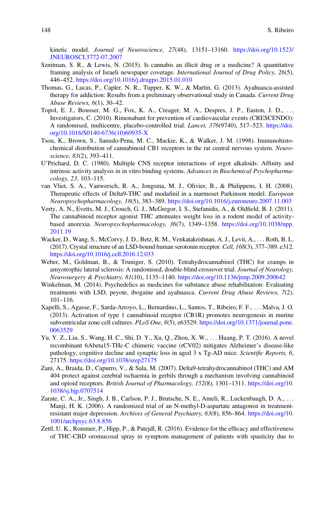kinetic model. Journal of Neuroscience, 27(48), 13151–13160. [https://doi.org/10.1523/](https://doi.org/10.1523/JNEUROSCI.3772-07.2007) [JNEUROSCI.3772-07.2007](https://doi.org/10.1523/JNEUROSCI.3772-07.2007)

- <span id="page-15-14"></span>Sznitman, S. R., & Lewis, N. (2015). Is cannabis an illicit drug or a medicine? A quantitative framing analysis of Israeli newspaper coverage. International Journal of Drug Policy, 26(5), 446–452. <https://doi.org/10.1016/j.drugpo.2015.01.010>
- <span id="page-15-11"></span>Thomas, G., Lucas, P., Capler, N. R., Tupper, K. W., & Martin, G. (2013). Ayahuasca-assisted therapy for addiction: Results from a preliminary observational study in Canada. Current Drug Abuse Reviews, 6(1), 30–42.
- <span id="page-15-8"></span>Topol, E. J., Bousser, M. G., Fox, K. A., Creager, M. A., Despres, J. P., Easton, J. D., ... Investigators, C. (2010). Rimonabant for prevention of cardiovascular events (CRESCENDO): A randomised, multicentre, placebo-controlled trial. Lancet, 376(9740), 517–523. [https://doi.](https://doi.org/10.1016/S0140-6736(10)60935-X) [org/10.1016/S0140-6736\(10\)60935-X](https://doi.org/10.1016/S0140-6736(10)60935-X)
- <span id="page-15-6"></span>Tsou, K., Brown, S., Sanudo-Pena, M. C., Mackie, K., & Walker, J. M. (1998). Immunohistochemical distribution of cannabinoid CB1 receptors in the rat central nervous system. Neuroscience, 83(2), 393–411.
- <span id="page-15-9"></span>U'Prichard, D. C. (1980). Multiple CNS receptor interactions of ergot alkaloids: Affinity and intrinsic activity analysis in in vitro binding systems. Advances in Biochemical Psychopharmacology, 23, 103–115.
- <span id="page-15-5"></span>van Vliet, S. A., Vanwersch, R. A., Jongsma, M. J., Olivier, B., & Philippens, I. H. (2008). Therapeutic effects of Delta9-THC and modafinil in a marmoset Parkinson model. European Neuropsychopharmacology, 18(5), 383–389. <https://doi.org/10.1016/j.euroneuro.2007.11.003>
- <span id="page-15-4"></span>Verty, A. N., Evetts, M. J., Crouch, G. J., McGregor, I. S., Stefanidis, A., & Oldfield, B. J. (2011). The cannabinoid receptor agonist THC attenuates weight loss in a rodent model of activitybased anorexia. Neuropsychopharmacology, 36(7), 1349–1358. [https://doi.org/10.1038/npp.](https://doi.org/10.1038/npp.2011.19) [2011.19](https://doi.org/10.1038/npp.2011.19)
- <span id="page-15-12"></span>Wacker, D., Wang, S., McCorvy, J. D., Betz, R. M., Venkatakrishnan, A. J., Levit, A., ... Roth, B. L. (2017). Crystal structure of an LSD-bound human serotonin receptor. Cell, 168(3), 377–389. e312. <https://doi.org/10.1016/j.cell.2016.12.033>
- <span id="page-15-3"></span>Weber, M., Goldman, B., & Truniger, S. (2010). Tetrahydrocannabinol (THC) for cramps in amyotrophic lateral sclerosis: A randomised, double-blind crossover trial. *Journal of Neurology*, Neurosurgery & Psychiatry, 81(10), 1135–1140. <https://doi.org/10.1136/jnnp.2009.200642>
- <span id="page-15-10"></span>Winkelman, M. (2014). Psychedelics as medicines for substance abuse rehabilitation: Evaluating treatments with LSD, peyote, ibogaine and ayahuasca. Current Drug Abuse Reviews, 7(2), 101–116.
- <span id="page-15-7"></span>Xapelli, S., Agasse, F., Sarda-Arroyo, L., Bernardino, L., Santos, T., Ribeiro, F. F., ... Malva, J. O. (2013). Activation of type 1 cannabinoid receptor (CB1R) promotes neurogenesis in murine subventricular zone cell cultures. PLoS One, 8(5), e63529. [https://doi.org/10.1371/journal.pone.](https://doi.org/10.1371/journal.pone.0063529) [0063529](https://doi.org/10.1371/journal.pone.0063529)
- <span id="page-15-2"></span>Yu, Y. Z., Liu, S., Wang, H. C., Shi, D. Y., Xu, Q., Zhou, X. W., ... Huang, P. T. (2016). A novel recombinant 6Abeta15-THc-C chimeric vaccine (rCV02) mitigates Alzheimer's disease-like pathology, cognitive decline and synaptic loss in aged 3 x Tg-AD mice. Scientific Reports, 6, 27175. <https://doi.org/10.1038/srep27175>
- <span id="page-15-1"></span>Zani, A., Braida, D., Capurro, V., & Sala, M. (2007). Delta9-tetrahydrocannabinol (THC) and AM 404 protect against cerebral ischaemia in gerbils through a mechanism involving cannabinoid and opioid receptors. British Journal of Pharmacology, 152(8), 1301–1311. [https://doi.org/10.](https://doi.org/10.1038/sj.bjp.0707514) [1038/sj.bjp.0707514](https://doi.org/10.1038/sj.bjp.0707514)
- <span id="page-15-13"></span>Zarate, C. A., Jr., Singh, J. B., Carlson, P. J., Brutsche, N. E., Ameli, R., Luckenbaugh, D. A., ... Manji, H. K. (2006). A randomized trial of an N-methyl-D-aspartate antagonist in treatmentresistant major depression. Archives of General Psychiatry, 63(8), 856–864. [https://doi.org/10.](https://doi.org/10.1001/archpsyc.63.8.856) [1001/archpsyc.63.8.856](https://doi.org/10.1001/archpsyc.63.8.856)
- <span id="page-15-0"></span>Zettl, U. K., Rommer, P., Hipp, P., & Patejdl, R. (2016). Evidence for the efficacy and effectiveness of THC-CBD oromucosal spray in symptom management of patients with spasticity due to